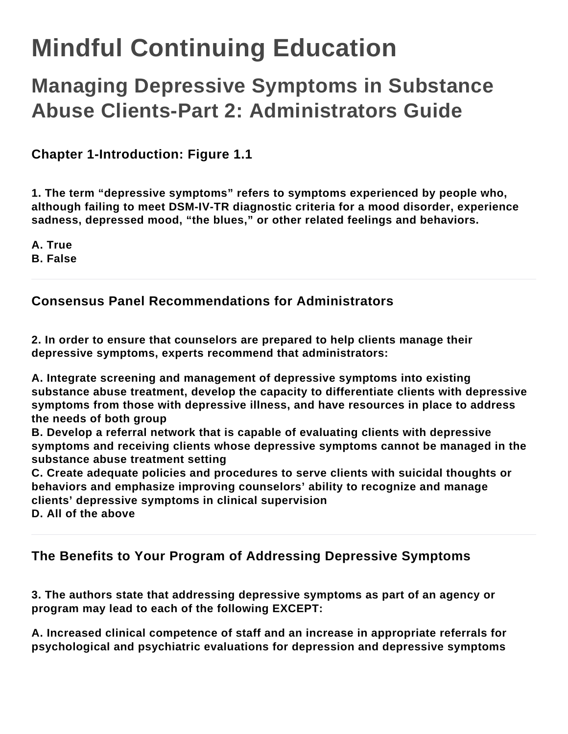# **Mindful Continuing Education**

# **Managing Depressive Symptoms in Substance Abuse Clients-Part 2: Administrators Guide**

**Chapter 1-Introduction: Figure 1.1**

**1. The term "depressive symptoms" refers to symptoms experienced by people who, although failing to meet DSM-IV-TR diagnostic criteria for a mood disorder, experience sadness, depressed mood, "the blues," or other related feelings and behaviors.**

**A. True**

**B. False**

# **Consensus Panel Recommendations for Administrators**

**2. In order to ensure that counselors are prepared to help clients manage their depressive symptoms, experts recommend that administrators:**

**A. Integrate screening and management of depressive symptoms into existing substance abuse treatment, develop the capacity to differentiate clients with depressive symptoms from those with depressive illness, and have resources in place to address the needs of both group**

**B. Develop a referral network that is capable of evaluating clients with depressive symptoms and receiving clients whose depressive symptoms cannot be managed in the substance abuse treatment setting**

**C. Create adequate policies and procedures to serve clients with suicidal thoughts or behaviors and emphasize improving counselors' ability to recognize and manage clients' depressive symptoms in clinical supervision**

**D. All of the above**

# **The Benefits to Your Program of Addressing Depressive Symptoms**

**3. The authors state that addressing depressive symptoms as part of an agency or program may lead to each of the following EXCEPT:**

**A. Increased clinical competence of staff and an increase in appropriate referrals for psychological and psychiatric evaluations for depression and depressive symptoms**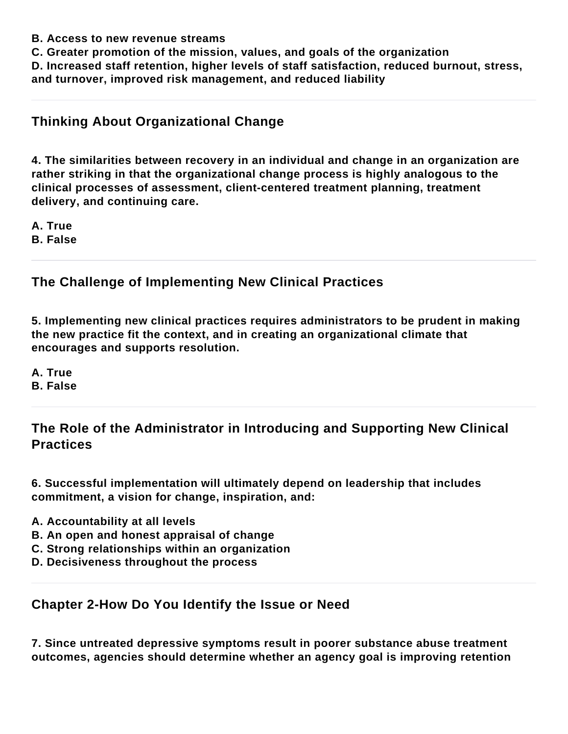- **B. Access to new revenue streams**
- **C. Greater promotion of the mission, values, and goals of the organization**

**D. Increased staff retention, higher levels of staff satisfaction, reduced burnout, stress, and turnover, improved risk management, and reduced liability**

# **Thinking About Organizational Change**

**4. The similarities between recovery in an individual and change in an organization are rather striking in that the organizational change process is highly analogous to the clinical processes of assessment, client-centered treatment planning, treatment delivery, and continuing care.**

**A. True B. False**

# **The Challenge of Implementing New Clinical Practices**

**5. Implementing new clinical practices requires administrators to be prudent in making the new practice fit the context, and in creating an organizational climate that encourages and supports resolution.**

**A. True B. False**

# **The Role of the Administrator in Introducing and Supporting New Clinical Practices**

**6. Successful implementation will ultimately depend on leadership that includes commitment, a vision for change, inspiration, and:**

- **A. Accountability at all levels**
- **B. An open and honest appraisal of change**
- **C. Strong relationships within an organization**
- **D. Decisiveness throughout the process**

#### **Chapter 2-How Do You Identify the Issue or Need**

**7. Since untreated depressive symptoms result in poorer substance abuse treatment outcomes, agencies should determine whether an agency goal is improving retention**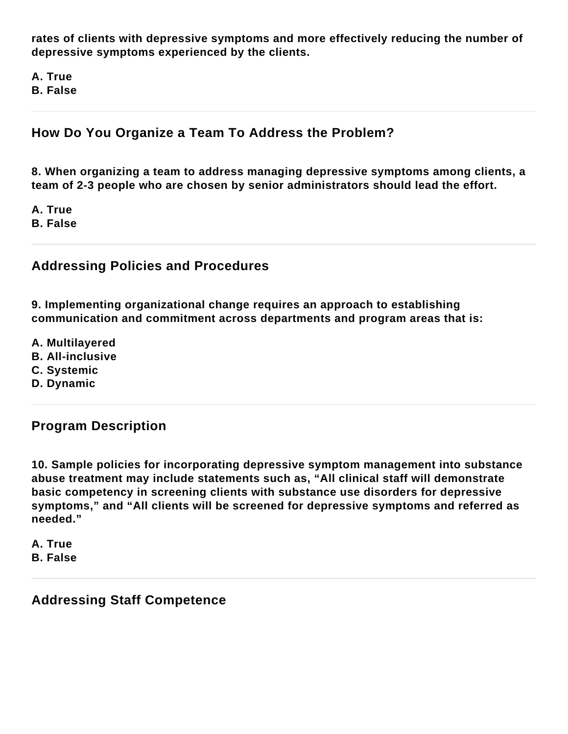**rates of clients with depressive symptoms and more effectively reducing the number of depressive symptoms experienced by the clients.**

**A. True B. False**

# **How Do You Organize a Team To Address the Problem?**

**8. When organizing a team to address managing depressive symptoms among clients, a team of 2-3 people who are chosen by senior administrators should lead the effort.**

**A. True B. False**

#### **Addressing Policies and Procedures**

**9. Implementing organizational change requires an approach to establishing communication and commitment across departments and program areas that is:**

- **A. Multilayered**
- **B. All-inclusive**
- **C. Systemic**
- **D. Dynamic**

#### **Program Description**

**10. Sample policies for incorporating depressive symptom management into substance abuse treatment may include statements such as, "All clinical staff will demonstrate basic competency in screening clients with substance use disorders for depressive symptoms," and "All clients will be screened for depressive symptoms and referred as needed."**

**A. True B. False**

#### **Addressing Staff Competence**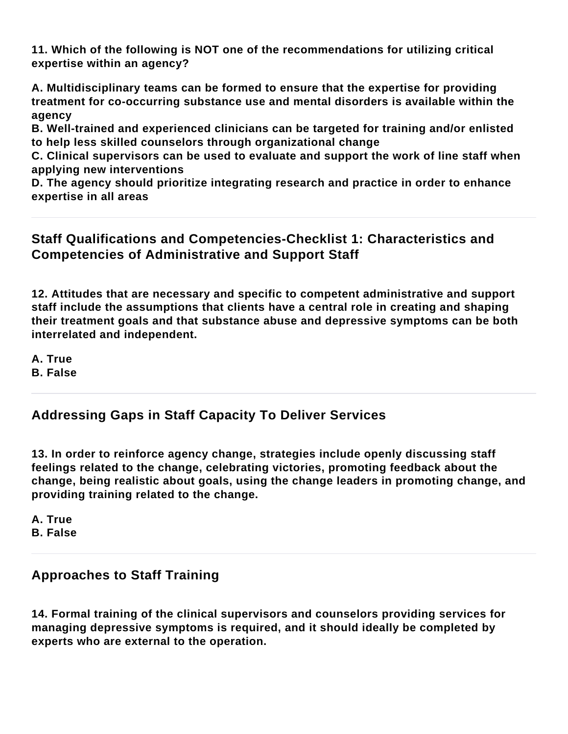**11. Which of the following is NOT one of the recommendations for utilizing critical expertise within an agency?**

**A. Multidisciplinary teams can be formed to ensure that the expertise for providing treatment for co-occurring substance use and mental disorders is available within the agency**

**B. Well-trained and experienced clinicians can be targeted for training and/or enlisted to help less skilled counselors through organizational change**

**C. Clinical supervisors can be used to evaluate and support the work of line staff when applying new interventions**

**D. The agency should prioritize integrating research and practice in order to enhance expertise in all areas**

# **Staff Qualifications and Competencies-Checklist 1: Characteristics and Competencies of Administrative and Support Staff**

**12. Attitudes that are necessary and specific to competent administrative and support staff include the assumptions that clients have a central role in creating and shaping their treatment goals and that substance abuse and depressive symptoms can be both interrelated and independent.**

**A. True B. False**

# **Addressing Gaps in Staff Capacity To Deliver Services**

**13. In order to reinforce agency change, strategies include openly discussing staff feelings related to the change, celebrating victories, promoting feedback about the change, being realistic about goals, using the change leaders in promoting change, and providing training related to the change.**

**A. True B. False**

# **Approaches to Staff Training**

**14. Formal training of the clinical supervisors and counselors providing services for managing depressive symptoms is required, and it should ideally be completed by experts who are external to the operation.**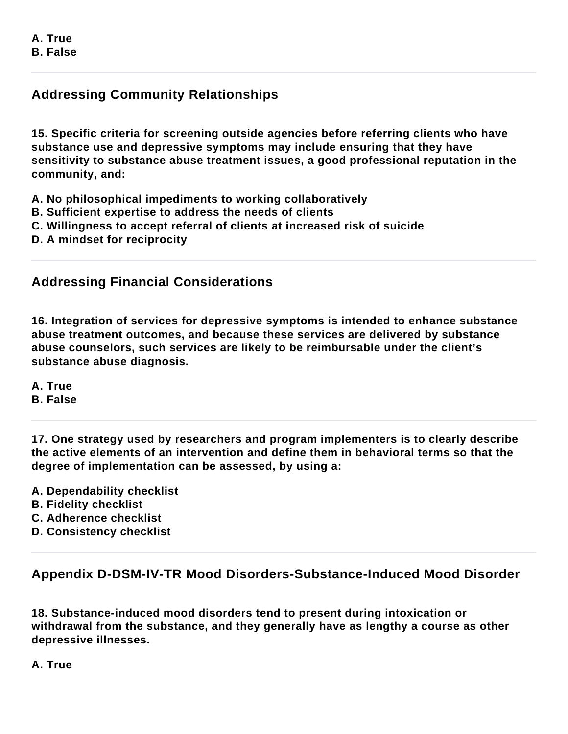# **Addressing Community Relationships**

**15. Specific criteria for screening outside agencies before referring clients who have substance use and depressive symptoms may include ensuring that they have sensitivity to substance abuse treatment issues, a good professional reputation in the community, and:**

- **A. No philosophical impediments to working collaboratively**
- **B. Sufficient expertise to address the needs of clients**
- **C. Willingness to accept referral of clients at increased risk of suicide**
- **D. A mindset for reciprocity**

# **Addressing Financial Considerations**

**16. Integration of services for depressive symptoms is intended to enhance substance abuse treatment outcomes, and because these services are delivered by substance abuse counselors, such services are likely to be reimbursable under the client's substance abuse diagnosis.**

**A. True B. False**

**17. One strategy used by researchers and program implementers is to clearly describe the active elements of an intervention and define them in behavioral terms so that the degree of implementation can be assessed, by using a:**

- **A. Dependability checklist**
- **B. Fidelity checklist**
- **C. Adherence checklist**
- **D. Consistency checklist**

# **Appendix D-DSM-IV-TR Mood Disorders-Substance-Induced Mood Disorder**

**18. Substance-induced mood disorders tend to present during intoxication or withdrawal from the substance, and they generally have as lengthy a course as other depressive illnesses.**

**A. True**